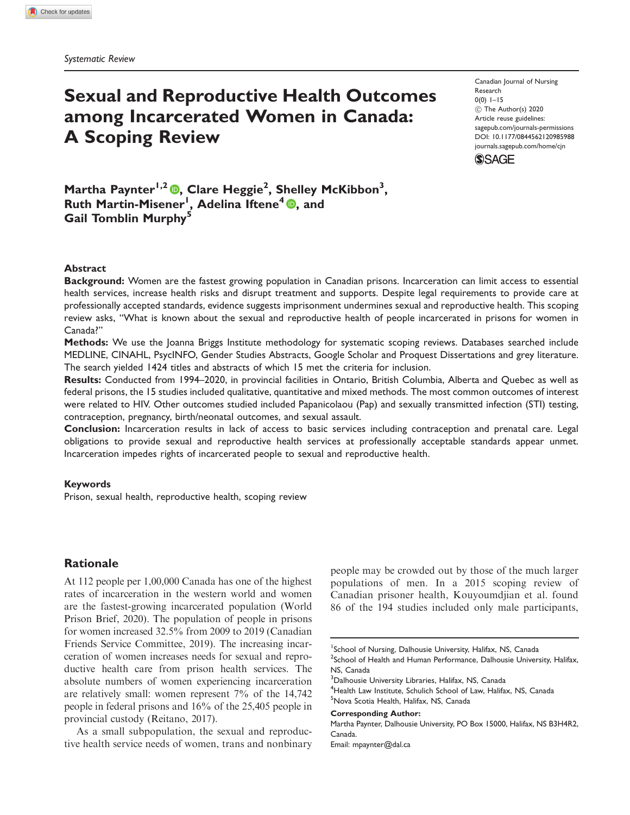# Sexual and Reproductive Health Outcomes among Incarcerated Women in Canada: A Scoping Review

Canadian Journal of Nursing Research  $0(0)$  1–15 (C) The Author(s) 2020 Article reuse guidelines: [sagepub.com/journals-permissions](http://us.sagepub.com/en-us/journals-permissions) [DOI: 10.1177/0844562120985988](http://dx.doi.org/10.1177/0844562120985988) <journals.sagepub.com/home/cjn>



Martha Paynter<sup>1[,](https://orcid.org/0000-0002-4194-8776)2</sup> (D, Clare Heggie<sup>2</sup>, Shelley McKibbon<sup>3</sup>, Ruth Martin-Misener<sup>1</sup>[,](https://orcid.org/0000-0002-0142-0643) Adelina Iftene<sup>4</sup> ©, and Gail Tomblin Murphy<sup>5</sup>

#### Abstract

Background: Women are the fastest growing population in Canadian prisons. Incarceration can limit access to essential health services, increase health risks and disrupt treatment and supports. Despite legal requirements to provide care at professionally accepted standards, evidence suggests imprisonment undermines sexual and reproductive health. This scoping review asks, "What is known about the sexual and reproductive health of people incarcerated in prisons for women in Canada?"

Methods: We use the Joanna Briggs Institute methodology for systematic scoping reviews. Databases searched include MEDLINE, CINAHL, PsycINFO, Gender Studies Abstracts, Google Scholar and Proquest Dissertations and grey literature. The search yielded 1424 titles and abstracts of which 15 met the criteria for inclusion.

Results: Conducted from 1994–2020, in provincial facilities in Ontario, British Columbia, Alberta and Quebec as well as federal prisons, the 15 studies included qualitative, quantitative and mixed methods. The most common outcomes of interest were related to HIV. Other outcomes studied included Papanicolaou (Pap) and sexually transmitted infection (STI) testing, contraception, pregnancy, birth/neonatal outcomes, and sexual assault.

Conclusion: Incarceration results in lack of access to basic services including contraception and prenatal care. Legal obligations to provide sexual and reproductive health services at professionally acceptable standards appear unmet. Incarceration impedes rights of incarcerated people to sexual and reproductive health.

#### Keywords

Prison, sexual health, reproductive health, scoping review

# Rationale

At 112 people per 1,00,000 Canada has one of the highest rates of incarceration in the western world and women are the fastest-growing incarcerated population (World Prison Brief, 2020). The population of people in prisons for women increased 32.5% from 2009 to 2019 (Canadian Friends Service Committee, 2019). The increasing incarceration of women increases needs for sexual and reproductive health care from prison health services. The absolute numbers of women experiencing incarceration are relatively small: women represent 7% of the 14,742 people in federal prisons and 16% of the 25,405 people in provincial custody (Reitano, 2017).

As a small subpopulation, the sexual and reproductive health service needs of women, trans and nonbinary people may be crowded out by those of the much larger populations of men. In a 2015 scoping review of Canadian prisoner health, Kouyoumdjian et al. found 86 of the 194 studies included only male participants,

<sup>3</sup>Dalhousie University Libraries, Halifax, NS, Canada

<sup>4</sup>Health Law Institute, Schulich School of Law, Halifax, NS, Canada 5 Nova Scotia Health, Halifax, NS, Canada

Corresponding Author:

Martha Paynter, Dalhousie University, PO Box 15000, Halifax, NS B3H4R2, Canada.

Email: [mpaynter@dal.ca](mailto:mpaynter@dal.ca)

<sup>&</sup>lt;sup>1</sup>School of Nursing, Dalhousie University, Halifax, NS, Canada <sup>2</sup>School of Health and Human Performance, Dalhousie University, Halifax, NS, Canada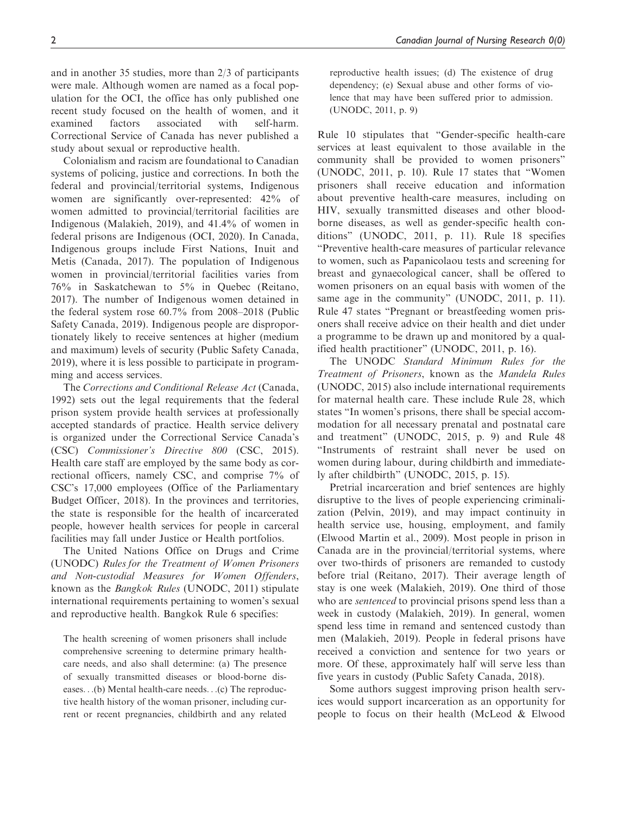and in another 35 studies, more than 2/3 of participants were male. Although women are named as a focal population for the OCI, the office has only published one recent study focused on the health of women, and it examined factors associated with self-harm. Correctional Service of Canada has never published a study about sexual or reproductive health.

Colonialism and racism are foundational to Canadian systems of policing, justice and corrections. In both the federal and provincial/territorial systems, Indigenous women are significantly over-represented: 42% of women admitted to provincial/territorial facilities are Indigenous (Malakieh, 2019), and 41.4% of women in federal prisons are Indigenous (OCI, 2020). In Canada, Indigenous groups include First Nations, Inuit and Metis (Canada, 2017). The population of Indigenous women in provincial/territorial facilities varies from 76% in Saskatchewan to 5% in Quebec (Reitano, 2017). The number of Indigenous women detained in the federal system rose 60.7% from 2008–2018 (Public Safety Canada, 2019). Indigenous people are disproportionately likely to receive sentences at higher (medium and maximum) levels of security (Public Safety Canada, 2019), where it is less possible to participate in programming and access services.

The Corrections and Conditional Release Act (Canada, 1992) sets out the legal requirements that the federal prison system provide health services at professionally accepted standards of practice. Health service delivery is organized under the Correctional Service Canada's (CSC) Commissioner's Directive 800 (CSC, 2015). Health care staff are employed by the same body as correctional officers, namely CSC, and comprise 7% of CSC's 17,000 employees (Office of the Parliamentary Budget Officer, 2018). In the provinces and territories, the state is responsible for the health of incarcerated people, however health services for people in carceral facilities may fall under Justice or Health portfolios.

The United Nations Office on Drugs and Crime (UNODC) Rules for the Treatment of Women Prisoners and Non-custodial Measures for Women Offenders, known as the Bangkok Rules (UNODC, 2011) stipulate international requirements pertaining to women's sexual and reproductive health. Bangkok Rule 6 specifies:

The health screening of women prisoners shall include comprehensive screening to determine primary healthcare needs, and also shall determine: (a) The presence of sexually transmitted diseases or blood-borne diseases...(b) Mental health-care needs...(c) The reproductive health history of the woman prisoner, including current or recent pregnancies, childbirth and any related reproductive health issues; (d) The existence of drug dependency; (e) Sexual abuse and other forms of violence that may have been suffered prior to admission. (UNODC, 2011, p. 9)

Rule 10 stipulates that "Gender-specific health-care services at least equivalent to those available in the community shall be provided to women prisoners" (UNODC, 2011, p. 10). Rule 17 states that "Women prisoners shall receive education and information about preventive health-care measures, including on HIV, sexually transmitted diseases and other bloodborne diseases, as well as gender-specific health conditions" (UNODC, 2011, p. 11). Rule 18 specifies "Preventive health-care measures of particular relevance to women, such as Papanicolaou tests and screening for breast and gynaecological cancer, shall be offered to women prisoners on an equal basis with women of the same age in the community" (UNODC, 2011, p. 11). Rule 47 states "Pregnant or breastfeeding women prisoners shall receive advice on their health and diet under a programme to be drawn up and monitored by a qualified health practitioner" (UNODC, 2011, p. 16).

The UNODC Standard Minimum Rules for the Treatment of Prisoners, known as the Mandela Rules (UNODC, 2015) also include international requirements for maternal health care. These include Rule 28, which states "In women's prisons, there shall be special accommodation for all necessary prenatal and postnatal care and treatment" (UNODC, 2015, p. 9) and Rule 48 "Instruments of restraint shall never be used on women during labour, during childbirth and immediately after childbirth" (UNODC, 2015, p. 15).

Pretrial incarceration and brief sentences are highly disruptive to the lives of people experiencing criminalization (Pelvin, 2019), and may impact continuity in health service use, housing, employment, and family (Elwood Martin et al., 2009). Most people in prison in Canada are in the provincial/territorial systems, where over two-thirds of prisoners are remanded to custody before trial (Reitano, 2017). Their average length of stay is one week (Malakieh, 2019). One third of those who are *sentenced* to provincial prisons spend less than a week in custody (Malakieh, 2019). In general, women spend less time in remand and sentenced custody than men (Malakieh, 2019). People in federal prisons have received a conviction and sentence for two years or more. Of these, approximately half will serve less than five years in custody (Public Safety Canada, 2018).

Some authors suggest improving prison health services would support incarceration as an opportunity for people to focus on their health (McLeod & Elwood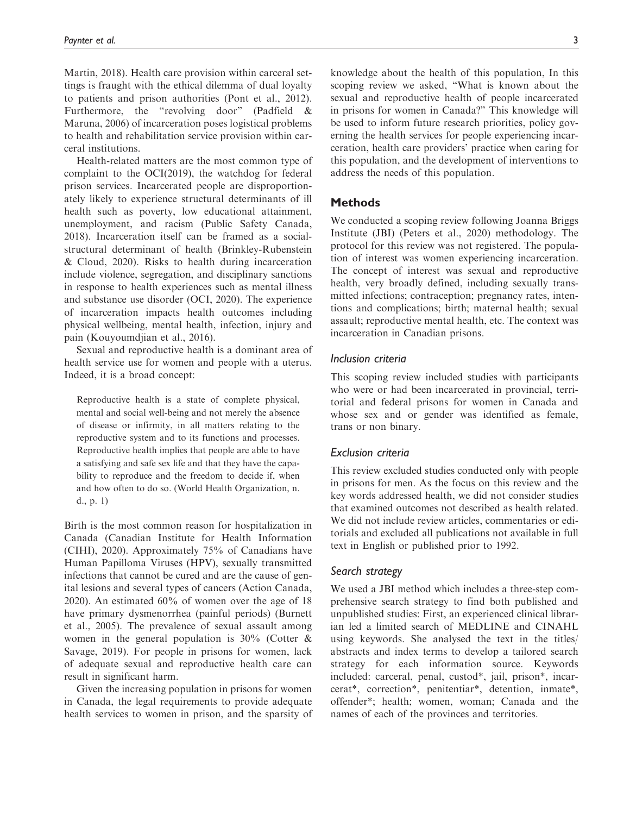Martin, 2018). Health care provision within carceral settings is fraught with the ethical dilemma of dual loyalty to patients and prison authorities (Pont et al., 2012). Furthermore, the "revolving door" (Padfield & Maruna, 2006) of incarceration poses logistical problems to health and rehabilitation service provision within carceral institutions.

Health-related matters are the most common type of complaint to the OCI(2019), the watchdog for federal prison services. Incarcerated people are disproportionately likely to experience structural determinants of ill health such as poverty, low educational attainment, unemployment, and racism (Public Safety Canada, 2018). Incarceration itself can be framed as a socialstructural determinant of health (Brinkley-Rubenstein & Cloud, 2020). Risks to health during incarceration include violence, segregation, and disciplinary sanctions in response to health experiences such as mental illness and substance use disorder (OCI, 2020). The experience of incarceration impacts health outcomes including physical wellbeing, mental health, infection, injury and pain (Kouyoumdjian et al., 2016).

Sexual and reproductive health is a dominant area of health service use for women and people with a uterus. Indeed, it is a broad concept:

Reproductive health is a state of complete physical, mental and social well-being and not merely the absence of disease or infirmity, in all matters relating to the reproductive system and to its functions and processes. Reproductive health implies that people are able to have a satisfying and safe sex life and that they have the capability to reproduce and the freedom to decide if, when and how often to do so. (World Health Organization, n. d., p. 1)

Birth is the most common reason for hospitalization in Canada (Canadian Institute for Health Information (CIHI), 2020). Approximately 75% of Canadians have Human Papilloma Viruses (HPV), sexually transmitted infections that cannot be cured and are the cause of genital lesions and several types of cancers (Action Canada, 2020). An estimated 60% of women over the age of 18 have primary dysmenorrhea (painful periods) (Burnett et al., 2005). The prevalence of sexual assault among women in the general population is  $30\%$  (Cotter & Savage, 2019). For people in prisons for women, lack of adequate sexual and reproductive health care can result in significant harm.

Given the increasing population in prisons for women in Canada, the legal requirements to provide adequate health services to women in prison, and the sparsity of

knowledge about the health of this population, In this scoping review we asked, "What is known about the sexual and reproductive health of people incarcerated in prisons for women in Canada?" This knowledge will be used to inform future research priorities, policy governing the health services for people experiencing incarceration, health care providers' practice when caring for this population, and the development of interventions to address the needs of this population.

# Methods

We conducted a scoping review following Joanna Briggs Institute (JBI) (Peters et al., 2020) methodology. The protocol for this review was not registered. The population of interest was women experiencing incarceration. The concept of interest was sexual and reproductive health, very broadly defined, including sexually transmitted infections; contraception; pregnancy rates, intentions and complications; birth; maternal health; sexual assault; reproductive mental health, etc. The context was incarceration in Canadian prisons.

## Inclusion criteria

This scoping review included studies with participants who were or had been incarcerated in provincial, territorial and federal prisons for women in Canada and whose sex and or gender was identified as female, trans or non binary.

# Exclusion criteria

This review excluded studies conducted only with people in prisons for men. As the focus on this review and the key words addressed health, we did not consider studies that examined outcomes not described as health related. We did not include review articles, commentaries or editorials and excluded all publications not available in full text in English or published prior to 1992.

#### Search strategy

We used a JBI method which includes a three-step comprehensive search strategy to find both published and unpublished studies: First, an experienced clinical librarian led a limited search of MEDLINE and CINAHL using keywords. She analysed the text in the titles/ abstracts and index terms to develop a tailored search strategy for each information source. Keywords included: carceral, penal, custod\*, jail, prison\*, incarcerat\*, correction\*, penitentiar\*, detention, inmate\*, offender\*; health; women, woman; Canada and the names of each of the provinces and territories.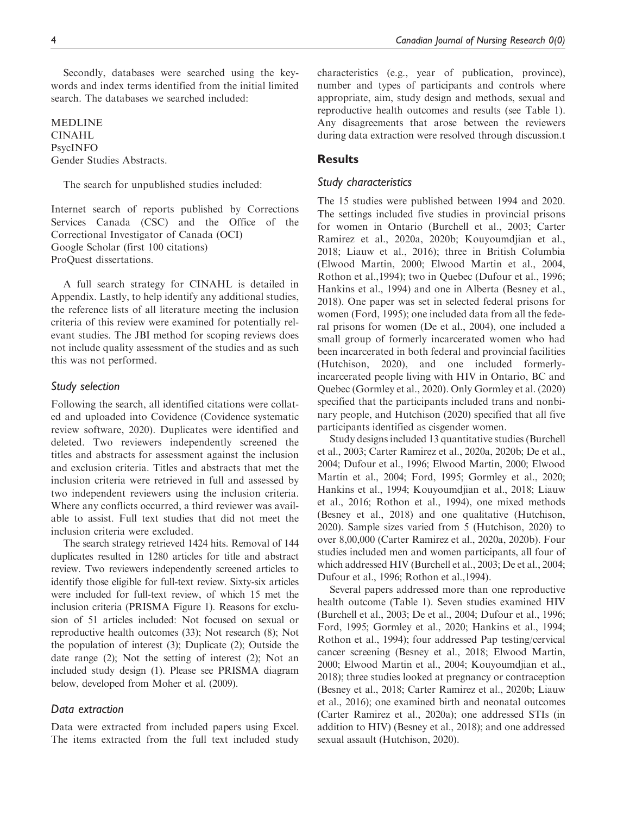Secondly, databases were searched using the keywords and index terms identified from the initial limited search. The databases we searched included:

MEDLINE CINAHL PsycINFO Gender Studies Abstracts.

The search for unpublished studies included:

Internet search of reports published by Corrections Services Canada (CSC) and the Office of the Correctional Investigator of Canada (OCI) Google Scholar (first 100 citations) ProQuest dissertations.

A full search strategy for CINAHL is detailed in Appendix. Lastly, to help identify any additional studies, the reference lists of all literature meeting the inclusion criteria of this review were examined for potentially relevant studies. The JBI method for scoping reviews does not include quality assessment of the studies and as such this was not performed.

#### Study selection

Following the search, all identified citations were collated and uploaded into Covidence (Covidence systematic review software, 2020). Duplicates were identified and deleted. Two reviewers independently screened the titles and abstracts for assessment against the inclusion and exclusion criteria. Titles and abstracts that met the inclusion criteria were retrieved in full and assessed by two independent reviewers using the inclusion criteria. Where any conflicts occurred, a third reviewer was available to assist. Full text studies that did not meet the inclusion criteria were excluded.

The search strategy retrieved 1424 hits. Removal of 144 duplicates resulted in 1280 articles for title and abstract review. Two reviewers independently screened articles to identify those eligible for full-text review. Sixty-six articles were included for full-text review, of which 15 met the inclusion criteria (PRISMA Figure 1). Reasons for exclusion of 51 articles included: Not focused on sexual or reproductive health outcomes (33); Not research (8); Not the population of interest (3); Duplicate (2); Outside the date range (2); Not the setting of interest (2); Not an included study design (1). Please see PRISMA diagram below, developed from Moher et al. (2009).

#### Data extraction

Data were extracted from included papers using Excel. The items extracted from the full text included study characteristics (e.g., year of publication, province), number and types of participants and controls where appropriate, aim, study design and methods, sexual and reproductive health outcomes and results (see Table 1). Any disagreements that arose between the reviewers during data extraction were resolved through discussion.t

# **Results**

#### Study characteristics

The 15 studies were published between 1994 and 2020. The settings included five studies in provincial prisons for women in Ontario (Burchell et al., 2003; Carter Ramirez et al., 2020a, 2020b; Kouyoumdjian et al., 2018; Liauw et al., 2016); three in British Columbia (Elwood Martin, 2000; Elwood Martin et al., 2004, Rothon et al.,1994); two in Quebec (Dufour et al., 1996; Hankins et al., 1994) and one in Alberta (Besney et al., 2018). One paper was set in selected federal prisons for women (Ford, 1995); one included data from all the federal prisons for women (De et al., 2004), one included a small group of formerly incarcerated women who had been incarcerated in both federal and provincial facilities (Hutchison, 2020), and one included formerlyincarcerated people living with HIV in Ontario, BC and Quebec (Gormley et al., 2020). Only Gormley et al. (2020) specified that the participants included trans and nonbinary people, and Hutchison (2020) specified that all five participants identified as cisgender women.

Study designs included 13 quantitative studies (Burchell et al., 2003; Carter Ramirez et al., 2020a, 2020b; De et al., 2004; Dufour et al., 1996; Elwood Martin, 2000; Elwood Martin et al., 2004; Ford, 1995; Gormley et al., 2020; Hankins et al., 1994; Kouyoumdjian et al., 2018; Liauw et al., 2016; Rothon et al., 1994), one mixed methods (Besney et al., 2018) and one qualitative (Hutchison, 2020). Sample sizes varied from 5 (Hutchison, 2020) to over 8,00,000 (Carter Ramirez et al., 2020a, 2020b). Four studies included men and women participants, all four of which addressed HIV (Burchell et al., 2003; De et al., 2004; Dufour et al., 1996; Rothon et al.,1994).

Several papers addressed more than one reproductive health outcome (Table 1). Seven studies examined HIV (Burchell et al., 2003; De et al., 2004; Dufour et al., 1996; Ford, 1995; Gormley et al., 2020; Hankins et al., 1994; Rothon et al., 1994); four addressed Pap testing/cervical cancer screening (Besney et al., 2018; Elwood Martin, 2000; Elwood Martin et al., 2004; Kouyoumdjian et al., 2018); three studies looked at pregnancy or contraception (Besney et al., 2018; Carter Ramirez et al., 2020b; Liauw et al., 2016); one examined birth and neonatal outcomes (Carter Ramirez et al., 2020a); one addressed STIs (in addition to HIV) (Besney et al., 2018); and one addressed sexual assault (Hutchison, 2020).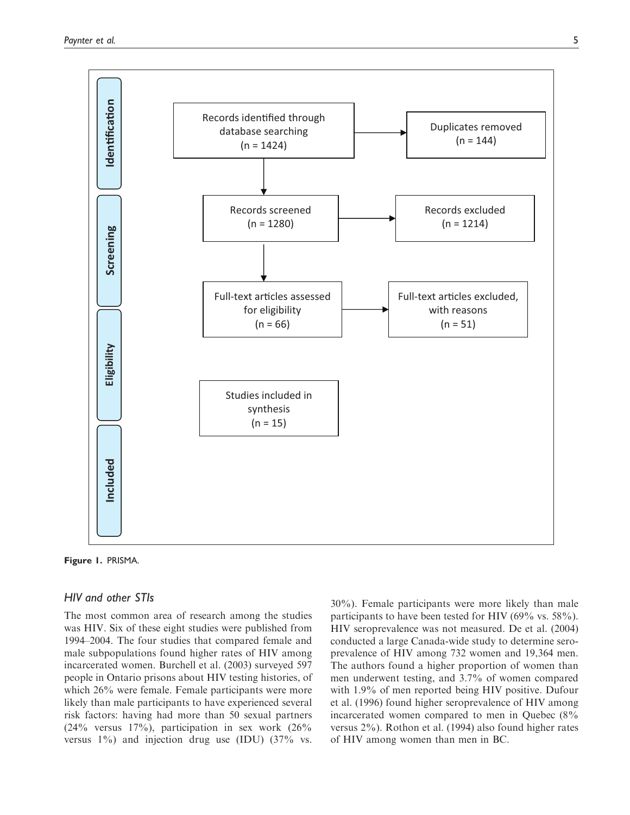

Figure 1. PRISMA.

# HIV and other STIs

The most common area of research among the studies was HIV. Six of these eight studies were published from 1994–2004. The four studies that compared female and male subpopulations found higher rates of HIV among incarcerated women. Burchell et al. (2003) surveyed 597 people in Ontario prisons about HIV testing histories, of which 26% were female. Female participants were more likely than male participants to have experienced several risk factors: having had more than 50 sexual partners  $(24\%$  versus  $17\%)$ , participation in sex work  $(26\%$ versus 1%) and injection drug use (IDU) (37% vs.

30%). Female participants were more likely than male participants to have been tested for HIV (69% vs. 58%). HIV seroprevalence was not measured. De et al. (2004) conducted a large Canada-wide study to determine seroprevalence of HIV among 732 women and 19,364 men. The authors found a higher proportion of women than men underwent testing, and 3.7% of women compared with 1.9% of men reported being HIV positive. Dufour et al. (1996) found higher seroprevalence of HIV among incarcerated women compared to men in Quebec (8% versus 2%). Rothon et al. (1994) also found higher rates of HIV among women than men in BC.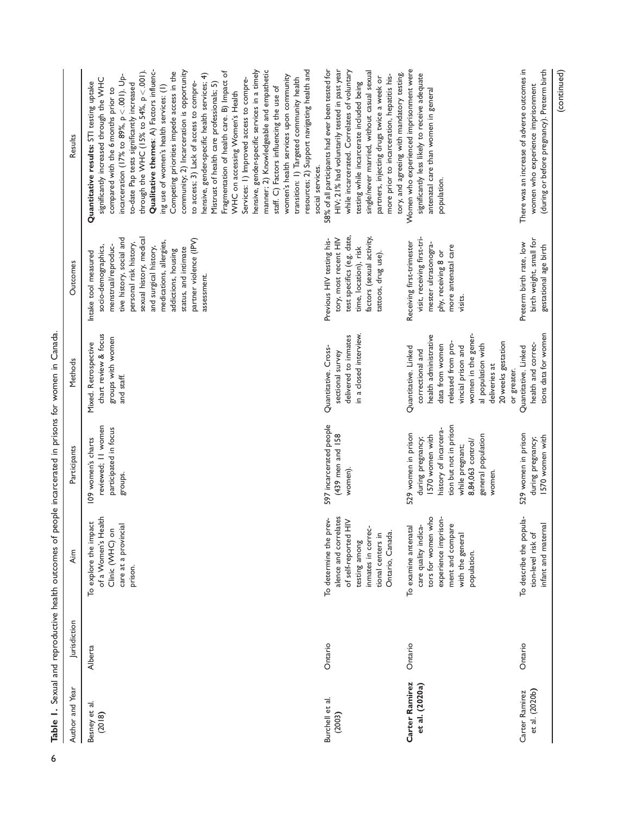| Results         | community; 2) Incarceration is opportunity<br>resources; 2) Support navigating health and<br>hensive, gender-specific services in a timely<br>manner; 2) Knowledgeable and empathetic<br>Qualitative themes: A) Factors influenc-<br>through the WHC (15% to 54%, $p < .001$ ).<br>Competing priorities impede access in the<br>Fragmentation of health care. B) Impact of<br>hensive, gender-specific health services; 4)<br>incarceration (17% to $89\%$ , $p < .001$ ). Up-<br>women's health services upon community<br>Services: 1) Improved access to compre-<br>transition: 1) Targeted community health<br>significantly increased through the WHC<br>to access; 3) Lack of access to compre-<br>Mistrust of health care professionals; 5)<br>Quantitative results: STI testing uptake<br>to-date Pap tests significantly increased<br>ing use of women's health services: (1)<br>staff. C) Factors influencing the use of<br>compared with the 6 months prior to<br>WHC on accessing Women's Health | 58% of all participants had ever been tested for<br>HIV; 21% had voluntarily tested in past year<br>while incarcerated. Correlates of voluntary<br>single/never married, without casual sexual<br>more prior to incarceration, hepatitis his-<br>partners, injecting drugs twice a week or<br>testing while incarcerate included being | Women who experienced imprisonment were<br>tory, and agreeing with mandatory testing.<br>significantly less likely to receive adequate<br>antenatal care than women in general                                                      | There was an increase of adverse outcomes in<br>(during or before pregnancy). Preterm birth<br>women who experience imprisonment |
|-----------------|--------------------------------------------------------------------------------------------------------------------------------------------------------------------------------------------------------------------------------------------------------------------------------------------------------------------------------------------------------------------------------------------------------------------------------------------------------------------------------------------------------------------------------------------------------------------------------------------------------------------------------------------------------------------------------------------------------------------------------------------------------------------------------------------------------------------------------------------------------------------------------------------------------------------------------------------------------------------------------------------------------------|----------------------------------------------------------------------------------------------------------------------------------------------------------------------------------------------------------------------------------------------------------------------------------------------------------------------------------------|-------------------------------------------------------------------------------------------------------------------------------------------------------------------------------------------------------------------------------------|----------------------------------------------------------------------------------------------------------------------------------|
|                 | social services.                                                                                                                                                                                                                                                                                                                                                                                                                                                                                                                                                                                                                                                                                                                                                                                                                                                                                                                                                                                             |                                                                                                                                                                                                                                                                                                                                        | population.                                                                                                                                                                                                                         |                                                                                                                                  |
| Outcomes        | tive history, social and<br>sexual history, medical<br>partner violence (IPV)<br>medications, allergies,<br>personal risk history,<br>menstrual/reproduc-<br>socio-demographics,<br>and surgical history,<br>status, and intimate<br>addictions, housing<br>Intake tool measured<br>assessment.                                                                                                                                                                                                                                                                                                                                                                                                                                                                                                                                                                                                                                                                                                              | test specifics (e.g. date,<br>factors (sexual activity,<br>tory, most recent HIV<br>Previous HIV testing his-<br>time, location), risk<br>tattoos, drug use).                                                                                                                                                                          | visit, receiving first-tri-<br>Receiving first-trimester<br>mester ultrasonogra-<br>more antenatal care<br>phy, receiving 8 or<br>visits.                                                                                           | birth weight, small for<br>Preterm birth rate, low<br>gestational age birth                                                      |
| Methods         | chart review & focus<br>groups with women<br>Mixed. Retrospective<br>and staff.                                                                                                                                                                                                                                                                                                                                                                                                                                                                                                                                                                                                                                                                                                                                                                                                                                                                                                                              | in a closed interview.<br>delivered to inmates<br>Quantitative. Cross-<br>sectional survey                                                                                                                                                                                                                                             | women in the gener-<br>health administrative<br>20 weeks gestation<br>released from pro-<br>data from women<br>al population with<br>vincial prison and<br>Quantitative. Linked<br>correctional and<br>deliveries at<br>or greater. | tions data for women<br>health and correc-<br>Quantitative. Linked                                                               |
| Participants    | reviewed; II women<br>participated in focus<br>109 women's charts<br>groups.                                                                                                                                                                                                                                                                                                                                                                                                                                                                                                                                                                                                                                                                                                                                                                                                                                                                                                                                 | 597 incarcerated people<br>(439 men and 158<br>women).                                                                                                                                                                                                                                                                                 | tion but not in prison<br>history of incarcera-<br>529 women in prison<br>1570 women with<br>general population<br>during pregnancy;<br>8,84,063 control/<br>while pregnant;<br>women.                                              | 529 women in prison<br>1570 women with<br>during pregnancy;                                                                      |
| Aim             | of a Women's Health<br>To explore the impact<br>care at a provincial<br>Clinic (WHC) on<br>prison.                                                                                                                                                                                                                                                                                                                                                                                                                                                                                                                                                                                                                                                                                                                                                                                                                                                                                                           | alence and correlates<br>è.<br>of self-reported HIV<br>inmates in correc-<br>To determine the pr<br>Ontario, Canada.<br>tional centers in<br>testing among                                                                                                                                                                             | tors for women who<br>experience imprison-<br>ment and compare<br>To examine antenatal<br>care quality indica<br>with the general<br>population.                                                                                    | To describe the popula-<br>infant and maternal<br>tion-level risk of                                                             |
| Jurisdiction    | Alberta                                                                                                                                                                                                                                                                                                                                                                                                                                                                                                                                                                                                                                                                                                                                                                                                                                                                                                                                                                                                      | Ontario                                                                                                                                                                                                                                                                                                                                | Ontario                                                                                                                                                                                                                             | Ontario                                                                                                                          |
| Author and Year | Besney et al.<br>(2018)                                                                                                                                                                                                                                                                                                                                                                                                                                                                                                                                                                                                                                                                                                                                                                                                                                                                                                                                                                                      | Burchell et al.<br>(2003)                                                                                                                                                                                                                                                                                                              | Carter Ramirez<br>et al. (2020a)                                                                                                                                                                                                    | et al. (2020b)<br>Carter Ramirez                                                                                                 |

(continued)

Table 1. Sexual and reproductive health outcomes of people incarcerated in prisons for women in Canada. o Table 1. Sexual and reproductive health outcomes of people incarcerated in prisons for women in Canada.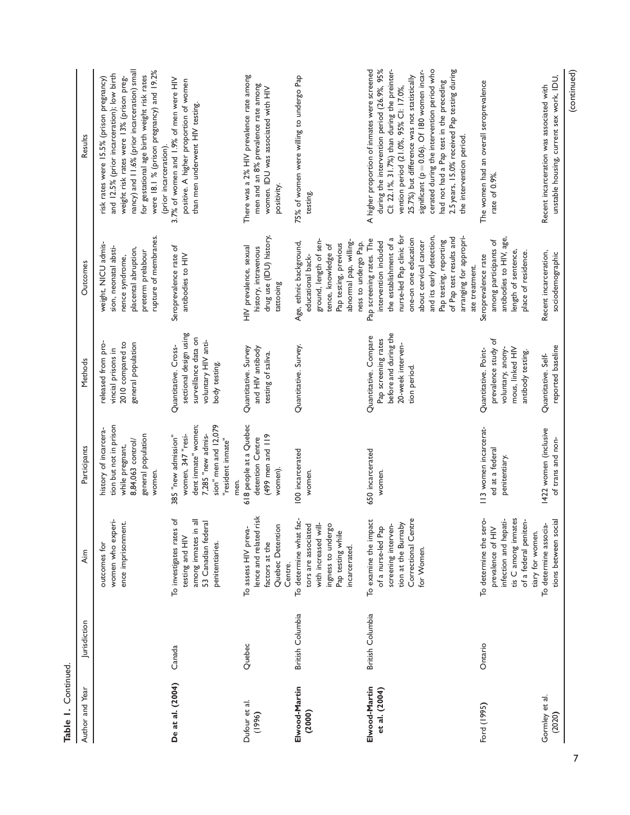| Continued |  |
|-----------|--|
| ⊼,        |  |

| Author and Year                | Jurisdiction     | Aim                                                                                                                                      | Participants                                                                                                                              | Methods                                                                                                        | Outcomes                                                                                                                                                                                                                                                                               | Results                                                                                                                                                                                                                                                                                                                                                                                                                                               |
|--------------------------------|------------------|------------------------------------------------------------------------------------------------------------------------------------------|-------------------------------------------------------------------------------------------------------------------------------------------|----------------------------------------------------------------------------------------------------------------|----------------------------------------------------------------------------------------------------------------------------------------------------------------------------------------------------------------------------------------------------------------------------------------|-------------------------------------------------------------------------------------------------------------------------------------------------------------------------------------------------------------------------------------------------------------------------------------------------------------------------------------------------------------------------------------------------------------------------------------------------------|
|                                |                  | women who experi-<br>ence imprisonment.<br>outcomes for                                                                                  | tion but not in prison<br>history of incarcera-<br>general population<br>8,84,063 control/<br>while pregnant,<br>women.                   | released from pro-<br>2010 compared to<br>general population<br>vincial prisons in                             | rupture of membranes.<br>weight, NICU admis-<br>sion, neonatal absti-<br>placental abruption,<br>preterm prelabour<br>nence syndrome,                                                                                                                                                  | nancy) and 11.6% (prior incarceration) small<br>were 18.1 % (prison pregnancy) and 19.2%<br>and 12.5% (prior incarceration); low birth<br>for gestational age birth weight risk rates<br>risk rates were 15.5% (prison pregnancy)<br>weight risk rates were 13% (prison preg-<br>(prior incarceration)                                                                                                                                                |
| De at al. (2004)               | Canada           | among inmates in all<br>53 Canadian federal<br>To investigates rates of<br>testing and HIV<br>penitentiaries.                            | sion" men and 12,079<br>dent inmate" women;<br>women, 347 "resi-<br>7,285 "new admis-<br>385 "new admission"<br>"resident inmate"<br>men. | sectional design using<br>surveillance data on<br>voluntary HIV anti-<br>Quantitative. Cross-<br>body testing. | Seroprevalence rate of<br>antibodies to HIV                                                                                                                                                                                                                                            | 3.7% of women and 1.9% of men were HIV<br>positive. A higher proportion of women<br>than men underwent HIV testing.                                                                                                                                                                                                                                                                                                                                   |
| Dufour et al.<br>(1996)        | Quebec           | lence and related risk<br>Quebec Detention<br>To assess HIV preva-<br>factors at the<br>Centre.                                          | 618 people at a Quebec<br>(499 men and 119<br>detention Centre<br>women).                                                                 | Quantitative. Survey<br>and HIV antibody<br>testing of saliva.                                                 | drug use (IDU) history,<br>HIV prevalence, sexual<br>history, intravenous<br>tattooing                                                                                                                                                                                                 | There was a 2% HIV prevalence rate among<br>men and an 8% prevalence rate among<br>women. IDU was associated with HIV<br>positivity.                                                                                                                                                                                                                                                                                                                  |
| Elwood-Martin<br>(2000)        | British Columbia | To determine what fac-<br>tors are associated<br>with increased will-<br>ingness to undergo<br>Pap testing while<br>incarcerated.        | 100 incarcerated<br>women.                                                                                                                | Quantitative. Survey.                                                                                          | ground, length of sen-<br>abnormal pap, willing-<br>Age, ethnic background,<br>ness to undergo Pap.<br>Pap testing, previous<br>tence, knowledge of<br>educational back-                                                                                                               | 75% of women were willing to undergo Pap<br>testing.                                                                                                                                                                                                                                                                                                                                                                                                  |
| Elwood-Martin<br>et al. (2004) | British Columbia | Correctional Centre<br>To examine the impact<br>tion at the Burnaby<br>of a nurse-led Pap<br>screening interven-<br>for Women.           | 650 incarcerated<br>women.                                                                                                                | before and during the<br>Quantitative. Compare<br>Pap screening rates<br>20-week interven-<br>tion period.     | and its early detection,<br>nurse-led Pap clinic for<br>arranging for appropri-<br>of Pap test results and<br>the establishment of a<br>one-on one education<br>Pap screening rates. The<br>Pap testing, reporting<br>about cervical cancer<br>intervention included<br>ate treatment. | cerated during the intervention period who<br>A higher proportion of inmates were screened<br>during the intervention period (26.9%, 95%<br>2.5 years, 15.0% received Pap testing during<br>CI: 22.1%, 31.7%) than during the preinter-<br>significant (p = 0.06). Of 180 women incar-<br>25.7%) but difference was not statistically<br>had not had a Pap test in the preceding<br>vention period (21.0%, 95% CI: 17.0%,<br>the intervention period. |
| Ford (1995)                    | Ontario          | To determine the sero-<br>tis C among inmates<br>infection and hepati-<br>of a federal peniten-<br>prevalence of HIV<br>tiary for women. | 113 women incarcerat-<br>ed at a federal<br>penitentiary.                                                                                 | prevalence study of<br>mous, linked HIV<br>voluntary, anony-<br>Quantitative. Point-<br>antibody testing.      | antibodies to HIV, age,<br>among participants of<br>length of sentence,<br>place of residence.<br>Seroprevalence rate                                                                                                                                                                  | The women had an overall seroprevalence<br>rate of 0.9%                                                                                                                                                                                                                                                                                                                                                                                               |
| Gormley et al.<br>(2020)       |                  | tions between social<br>To determine associa-                                                                                            | 1422 women (inclusive<br>of trans and non-                                                                                                | reported baseline<br>Quantitative. Self-                                                                       | Recent incarceration,<br>sociodemographic                                                                                                                                                                                                                                              | (continued)<br>unstable housing, current sex work, IDU,<br>Recent incarceration was associated with                                                                                                                                                                                                                                                                                                                                                   |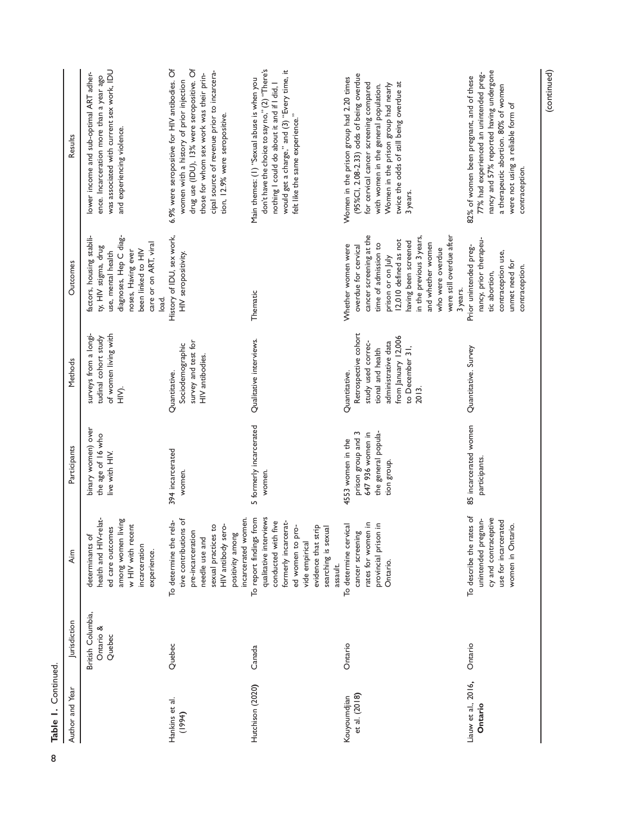Table 1. Continued. co Table I. Continued.

| Author and Year                | Jurisdiction                             | Aim                                                                                                                                                                                              | Participants                                                                                      | Methods                                                                                                                                                    | Outcomes                                                                                                                                                                                                                                                                         | Results                                                                                                                                                                                                                                                                 |
|--------------------------------|------------------------------------------|--------------------------------------------------------------------------------------------------------------------------------------------------------------------------------------------------|---------------------------------------------------------------------------------------------------|------------------------------------------------------------------------------------------------------------------------------------------------------------|----------------------------------------------------------------------------------------------------------------------------------------------------------------------------------------------------------------------------------------------------------------------------------|-------------------------------------------------------------------------------------------------------------------------------------------------------------------------------------------------------------------------------------------------------------------------|
|                                | British Columbia,<br>Ontario &<br>Quebec | health and HIV-relat-<br>among women living<br>w HIV with recent<br>ed care outcomes<br>determinants of<br>incarceration<br>experience.                                                          | binary women) over<br>the age of 16 who<br>live with HIV.                                         | surveys from a longi-<br>of women living with<br>tudinal cohort study<br>$\sum_{i=1}^{n}$                                                                  | diagnoses, Hep C diag-<br>factors, housing stabili-<br>care or on ART, viral<br>ty, HIV stigma, drug<br>been linked to HIV<br>noses, Having ever<br>use, mental health<br>load.                                                                                                  | was associated with current sex work, IDU<br>lower income and sub-optimal ART adher-<br>ence. Incarceration more than a year ago<br>and experiencing violence.                                                                                                          |
| Hankins et al.<br>(1994)       | Quebec                                   | incarcerated women.<br>ঁত<br>To determine the rela-<br>sexual practices to<br>HIV antibody sero-<br>tive contributions<br>pre-incarceration<br>positivity among<br>needle use and                | 394 incarcerated<br>women.                                                                        | survey and test for<br>Sociodemographic<br>HIV antibodies.<br>Quantitative.                                                                                | History of IDU, sex work,<br>HIV seropositivity.                                                                                                                                                                                                                                 | 6.9% were seropositive for HIV antibodies. Of<br>drug use (IDU), 13% were seropositive. Of<br>cipal source of revenue prior to incarcera-<br>those for whom sex work was their prin-<br>women with a history of prior injection<br>tion, 12.9% were seropositive.       |
| Hutchison (2020)               | Canada                                   | To report findings from<br>qualitative interviews<br>conducted with five<br>formerly incarcerat-<br>ed women to pro-<br>evidence that strip<br>searching is sexual<br>vide empirical<br>assault. | 5 formerly incarcerated<br>women.                                                                 | Qualitative interviews.                                                                                                                                    | Thematic                                                                                                                                                                                                                                                                         | don't have the choice to say no," (2) "There's<br>would get a charge," and (3) "Every time, it<br>Main themes: (I) "Sexual abuse is when you<br>nothing I could do about it and if I did, I<br>felt like the same experience."                                          |
| et al. (2018)<br>Kouyoumdjian  | Ontario                                  | $\equiv$<br>$\equiv$<br>To determine cervical<br>cancer screening<br>provincial prison<br>rates for women<br>Ontario.                                                                            | the general popula-<br>prison group and 3<br>647 936 women in<br>4553 women in the<br>tion group. | Retrospective cohort<br>from January 12,006<br>study used correc-<br>administrative data<br>to December 31,<br>tional and health<br>Quantitative.<br>2013. | cancer screening at the<br>in the previous 3 years,<br>were still overdue after<br>12,010 defined as not<br>having been screened<br>and whether women<br>time of admission to<br>Whether women were<br>overdue for cervical<br>who were overdue<br>prison or on July<br>3 years. | (95%Cl, 2.08-2.33) odds of being overdue<br>Women in the prison group had 2.20 times<br>twice the odds of still being overdue at<br>for cervical cancer screening compared<br>Women in the prison group had nearly<br>with women in the general population.<br>3 years. |
| Liauw et al., 2016,<br>Ontario | Ontario                                  | To describe the rates of<br>cy and contraceptive<br>unintended pregnan-<br>use for incarcerated<br>women in Ontario.                                                                             | 85 incarcerated women<br>participants.                                                            | Quantitative. Survey                                                                                                                                       | nancy, prior therapeu-<br>Prior unintended preg-<br>contraception use,<br>unmet need for<br>contraception.<br>tic abortion,                                                                                                                                                      | nancy and 57% reported having undergone<br>77% had experienced an unintended preg-<br>82% of women been pregnant, and of these<br>a therapeutic abortion. 80% of women<br>were not using a reliable form of<br>contraception.                                           |

(continued)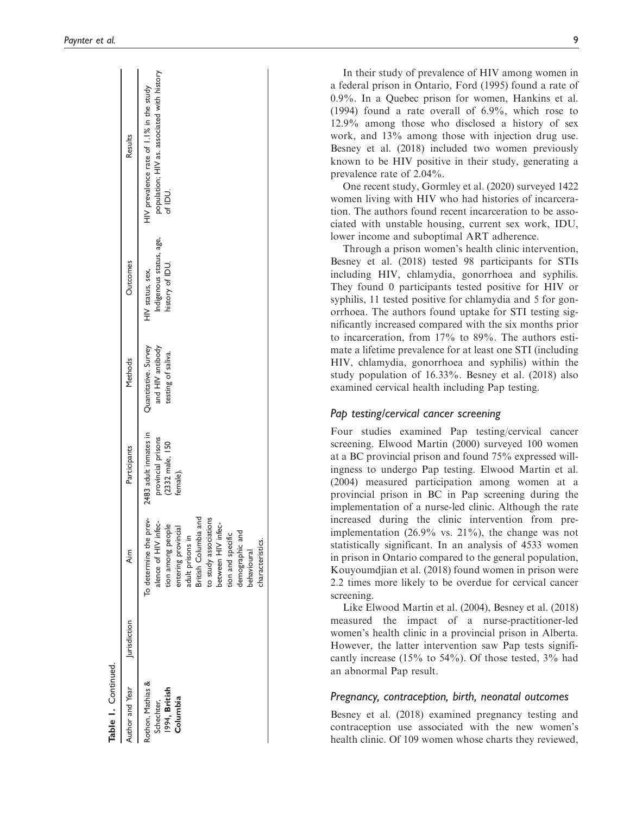| Author and Year Iuris diction                                | Aim                                                                                                                                                                                                                                                             | Participants                                                               | Methods                                                        | Outcomes                                                       | Results                                                                                            |
|--------------------------------------------------------------|-----------------------------------------------------------------------------------------------------------------------------------------------------------------------------------------------------------------------------------------------------------------|----------------------------------------------------------------------------|----------------------------------------------------------------|----------------------------------------------------------------|----------------------------------------------------------------------------------------------------|
| Rothon, Mathias &<br>1994, British<br>Columbia<br>Schechter, | To determine the prev-<br>to study associations<br>alence of HIV infec-<br>British Columbia an<br>between HIV infec-<br>tion among people<br>entering provincial<br>demographic and<br>tion and specific<br>adult prisons in<br>characteristics.<br>behavioural | 2483 adult inmates in<br>provincial prisons<br>(2332 male, 150<br>female). | Quantitative. Survey<br>and HIV antibody<br>testing of saliva. | Indigenous status, age,<br>history of IDU.<br>HIV status, sex, | population; HIV as. associated with history<br>HIV prevalence rate of 1.1% in the study<br>of IDU. |

Table 1.

Continued.

Table 1. Continued

In their study of prevalence of HIV among women in a federal prison in Ontario, Ford (1995) found a rate of 0.9%. In a Quebec prison for women, Hankins et al. (1994) found a rate overall of 6.9%, which rose to 12.9% among those who disclosed a history of sex work, and 13% among those with injection drug use. Besney et al. (2018) included two women previously known to be HIV positive in their study, generating a prevalence rate of 2.04%.

One recent study, Gormley et al. (2020) surveyed 1422 women living with HIV who had histories of incarceration. The authors found recent incarceration to be associated with unstable housing, current sex work, IDU, lower income and suboptimal ART adherence.

Through a prison women's health clinic intervention, Besney et al. (2018) tested 98 participants for STIs including HIV, chlamydia, gonorrhoea and syphilis. They found 0 participants tested positive for HIV or syphilis, 11 tested positive for chlamydia and 5 for gonorrhoea. The authors found uptake for STI testing significantly increased compared with the six months prior to incarceration, from 17% to 89%. The authors estimate a lifetime prevalence for at least one STI (including HIV, chlamydia, gonorrhoea and syphilis) within the study population of 16.33%. Besney et al. (2018) also examined cervical health including Pap testing.

# Pap testing/cervical cancer screening

Four studies examined Pap testing/cervical cancer screening. Elwood Martin (2000) surveyed 100 women at a BC provincial prison and found 75% expressed willingness to undergo Pap testing. Elwood Martin et al. (2004) measured participation among women at a provincial prison in BC in Pap screening during the implementation of a nurse-led clinic. Although the rate increased during the clinic intervention from preimplementation (26.9% vs. 21%), the change was not statistically significant. In an analysis of 4533 women in prison in Ontario compared to the general population, Kouyoumdjian et al. (2018) found women in prison were 2.2 times more likely to be overdue for cervical cancer screening.

Like Elwood Martin et al. (2004), Besney et al. (2018) measured the impact of a nurse-practitioner-led women's health clinic in a provincial prison in Alberta. However, the latter intervention saw Pap tests significantly increase (15% to 54%). Of those tested, 3% had an abnormal Pap result.

## Pregnancy, contraception, birth, neonatal outcomes

Besney et al. (2018) examined pregnancy testing and contraception use associated with the new women's health clinic. Of 109 women whose charts they reviewed,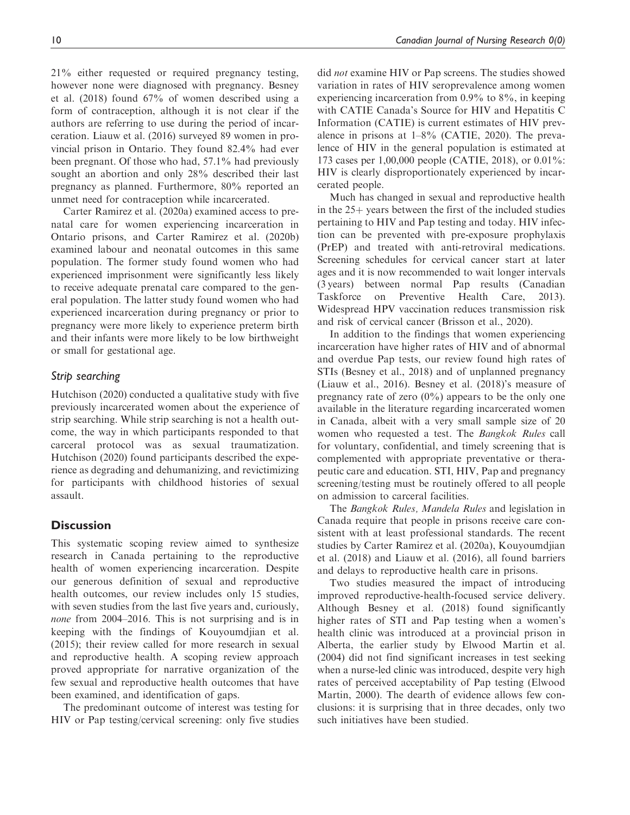21% either requested or required pregnancy testing, however none were diagnosed with pregnancy. Besney et al. (2018) found 67% of women described using a form of contraception, although it is not clear if the authors are referring to use during the period of incarceration. Liauw et al. (2016) surveyed 89 women in provincial prison in Ontario. They found 82.4% had ever been pregnant. Of those who had, 57.1% had previously sought an abortion and only 28% described their last pregnancy as planned. Furthermore, 80% reported an unmet need for contraception while incarcerated.

Carter Ramirez et al. (2020a) examined access to prenatal care for women experiencing incarceration in Ontario prisons, and Carter Ramirez et al. (2020b) examined labour and neonatal outcomes in this same population. The former study found women who had experienced imprisonment were significantly less likely to receive adequate prenatal care compared to the general population. The latter study found women who had experienced incarceration during pregnancy or prior to pregnancy were more likely to experience preterm birth and their infants were more likely to be low birthweight or small for gestational age.

# Strip searching

Hutchison (2020) conducted a qualitative study with five previously incarcerated women about the experience of strip searching. While strip searching is not a health outcome, the way in which participants responded to that carceral protocol was as sexual traumatization. Hutchison (2020) found participants described the experience as degrading and dehumanizing, and revictimizing for participants with childhood histories of sexual assault.

# **Discussion**

This systematic scoping review aimed to synthesize research in Canada pertaining to the reproductive health of women experiencing incarceration. Despite our generous definition of sexual and reproductive health outcomes, our review includes only 15 studies, with seven studies from the last five years and, curiously, none from 2004–2016. This is not surprising and is in keeping with the findings of Kouyoumdjian et al. (2015); their review called for more research in sexual and reproductive health. A scoping review approach proved appropriate for narrative organization of the few sexual and reproductive health outcomes that have been examined, and identification of gaps.

The predominant outcome of interest was testing for HIV or Pap testing/cervical screening: only five studies did not examine HIV or Pap screens. The studies showed variation in rates of HIV seroprevalence among women experiencing incarceration from  $0.9\%$  to  $8\%$ , in keeping with CATIE Canada's Source for HIV and Hepatitis C Information (CATIE) is current estimates of HIV prevalence in prisons at 1–8% (CATIE, 2020). The prevalence of HIV in the general population is estimated at 173 cases per 1,00,000 people (CATIE, 2018), or 0.01%: HIV is clearly disproportionately experienced by incarcerated people.

Much has changed in sexual and reproductive health in the  $25+$  years between the first of the included studies pertaining to HIV and Pap testing and today. HIV infection can be prevented with pre-exposure prophylaxis (PrEP) and treated with anti-retroviral medications. Screening schedules for cervical cancer start at later ages and it is now recommended to wait longer intervals (3 years) between normal Pap results (Canadian Taskforce on Preventive Health Care, 2013). Widespread HPV vaccination reduces transmission risk and risk of cervical cancer (Brisson et al., 2020).

In addition to the findings that women experiencing incarceration have higher rates of HIV and of abnormal and overdue Pap tests, our review found high rates of STIs (Besney et al., 2018) and of unplanned pregnancy (Liauw et al., 2016). Besney et al. (2018)'s measure of pregnancy rate of zero  $(0\%)$  appears to be the only one available in the literature regarding incarcerated women in Canada, albeit with a very small sample size of 20 women who requested a test. The Bangkok Rules call for voluntary, confidential, and timely screening that is complemented with appropriate preventative or therapeutic care and education. STI, HIV, Pap and pregnancy screening/testing must be routinely offered to all people on admission to carceral facilities.

The Bangkok Rules, Mandela Rules and legislation in Canada require that people in prisons receive care consistent with at least professional standards. The recent studies by Carter Ramirez et al. (2020a), Kouyoumdjian et al. (2018) and Liauw et al. (2016), all found barriers and delays to reproductive health care in prisons.

Two studies measured the impact of introducing improved reproductive-health-focused service delivery. Although Besney et al. (2018) found significantly higher rates of STI and Pap testing when a women's health clinic was introduced at a provincial prison in Alberta, the earlier study by Elwood Martin et al. (2004) did not find significant increases in test seeking when a nurse-led clinic was introduced, despite very high rates of perceived acceptability of Pap testing (Elwood Martin, 2000). The dearth of evidence allows few conclusions: it is surprising that in three decades, only two such initiatives have been studied.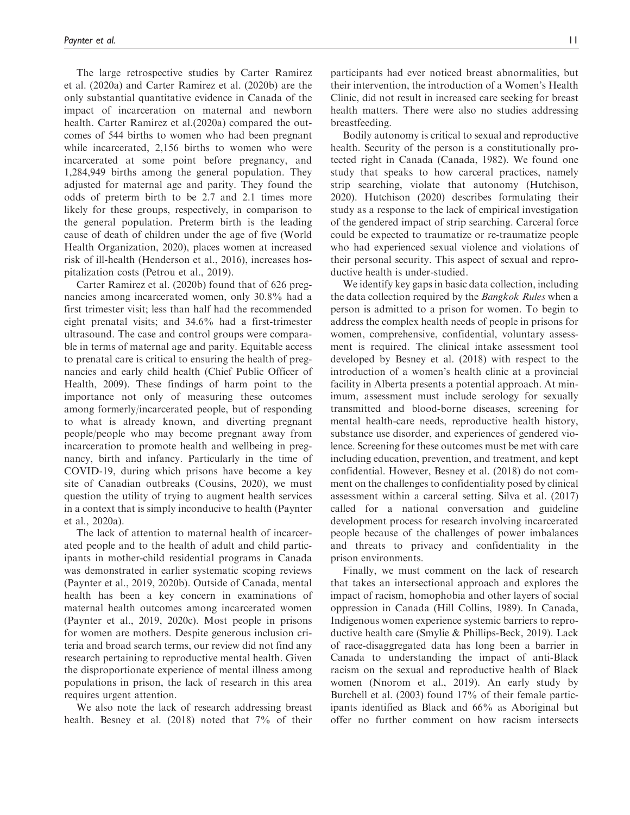The large retrospective studies by Carter Ramirez et al. (2020a) and Carter Ramirez et al. (2020b) are the only substantial quantitative evidence in Canada of the impact of incarceration on maternal and newborn health. Carter Ramirez et al.(2020a) compared the outcomes of 544 births to women who had been pregnant while incarcerated, 2,156 births to women who were incarcerated at some point before pregnancy, and 1,284,949 births among the general population. They adjusted for maternal age and parity. They found the odds of preterm birth to be 2.7 and 2.1 times more likely for these groups, respectively, in comparison to the general population. Preterm birth is the leading cause of death of children under the age of five (World Health Organization, 2020), places women at increased risk of ill-health (Henderson et al., 2016), increases hospitalization costs (Petrou et al., 2019).

Carter Ramirez et al. (2020b) found that of 626 pregnancies among incarcerated women, only 30.8% had a first trimester visit; less than half had the recommended eight prenatal visits; and 34.6% had a first-trimester ultrasound. The case and control groups were comparable in terms of maternal age and parity. Equitable access to prenatal care is critical to ensuring the health of pregnancies and early child health (Chief Public Officer of Health, 2009). These findings of harm point to the importance not only of measuring these outcomes among formerly/incarcerated people, but of responding to what is already known, and diverting pregnant people/people who may become pregnant away from incarceration to promote health and wellbeing in pregnancy, birth and infancy. Particularly in the time of COVID-19, during which prisons have become a key site of Canadian outbreaks (Cousins, 2020), we must question the utility of trying to augment health services in a context that is simply inconducive to health (Paynter et al., 2020a).

The lack of attention to maternal health of incarcerated people and to the health of adult and child participants in mother-child residential programs in Canada was demonstrated in earlier systematic scoping reviews (Paynter et al., 2019, 2020b). Outside of Canada, mental health has been a key concern in examinations of maternal health outcomes among incarcerated women (Paynter et al., 2019, 2020c). Most people in prisons for women are mothers. Despite generous inclusion criteria and broad search terms, our review did not find any research pertaining to reproductive mental health. Given the disproportionate experience of mental illness among populations in prison, the lack of research in this area requires urgent attention.

We also note the lack of research addressing breast health. Besney et al. (2018) noted that 7% of their participants had ever noticed breast abnormalities, but their intervention, the introduction of a Women's Health Clinic, did not result in increased care seeking for breast health matters. There were also no studies addressing breastfeeding.

Bodily autonomy is critical to sexual and reproductive health. Security of the person is a constitutionally protected right in Canada (Canada, 1982). We found one study that speaks to how carceral practices, namely strip searching, violate that autonomy (Hutchison, 2020). Hutchison (2020) describes formulating their study as a response to the lack of empirical investigation of the gendered impact of strip searching. Carceral force could be expected to traumatize or re-traumatize people who had experienced sexual violence and violations of their personal security. This aspect of sexual and reproductive health is under-studied.

We identify key gaps in basic data collection, including the data collection required by the Bangkok Rules when a person is admitted to a prison for women. To begin to address the complex health needs of people in prisons for women, comprehensive, confidential, voluntary assessment is required. The clinical intake assessment tool developed by Besney et al. (2018) with respect to the introduction of a women's health clinic at a provincial facility in Alberta presents a potential approach. At minimum, assessment must include serology for sexually transmitted and blood-borne diseases, screening for mental health-care needs, reproductive health history, substance use disorder, and experiences of gendered violence. Screening for these outcomes must be met with care including education, prevention, and treatment, and kept confidential. However, Besney et al. (2018) do not comment on the challenges to confidentiality posed by clinical assessment within a carceral setting. Silva et al. (2017) called for a national conversation and guideline development process for research involving incarcerated people because of the challenges of power imbalances and threats to privacy and confidentiality in the prison environments.

Finally, we must comment on the lack of research that takes an intersectional approach and explores the impact of racism, homophobia and other layers of social oppression in Canada (Hill Collins, 1989). In Canada, Indigenous women experience systemic barriers to reproductive health care (Smylie & Phillips-Beck, 2019). Lack of race-disaggregated data has long been a barrier in Canada to understanding the impact of anti-Black racism on the sexual and reproductive health of Black women (Nnorom et al., 2019). An early study by Burchell et al. (2003) found 17% of their female participants identified as Black and 66% as Aboriginal but offer no further comment on how racism intersects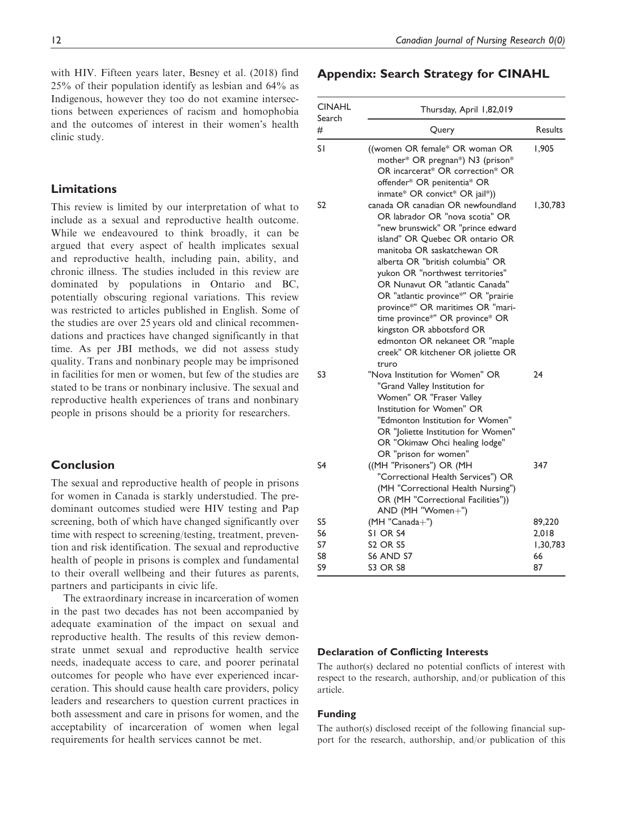with HIV. Fifteen years later, Besney et al. (2018) find 25% of their population identify as lesbian and 64% as Indigenous, however they too do not examine intersections between experiences of racism and homophobia and the outcomes of interest in their women's health clinic study.

# Limitations

This review is limited by our interpretation of what to include as a sexual and reproductive health outcome. While we endeavoured to think broadly, it can be argued that every aspect of health implicates sexual and reproductive health, including pain, ability, and chronic illness. The studies included in this review are dominated by populations in Ontario and BC, potentially obscuring regional variations. This review was restricted to articles published in English. Some of the studies are over 25 years old and clinical recommendations and practices have changed significantly in that time. As per JBI methods, we did not assess study quality. Trans and nonbinary people may be imprisoned in facilities for men or women, but few of the studies are stated to be trans or nonbinary inclusive. The sexual and reproductive health experiences of trans and nonbinary people in prisons should be a priority for researchers.

# Conclusion

The sexual and reproductive health of people in prisons for women in Canada is starkly understudied. The predominant outcomes studied were HIV testing and Pap screening, both of which have changed significantly over time with respect to screening/testing, treatment, prevention and risk identification. The sexual and reproductive health of people in prisons is complex and fundamental to their overall wellbeing and their futures as parents, partners and participants in civic life.

The extraordinary increase in incarceration of women in the past two decades has not been accompanied by adequate examination of the impact on sexual and reproductive health. The results of this review demonstrate unmet sexual and reproductive health service needs, inadequate access to care, and poorer perinatal outcomes for people who have ever experienced incarceration. This should cause health care providers, policy leaders and researchers to question current practices in both assessment and care in prisons for women, and the acceptability of incarceration of women when legal requirements for health services cannot be met.

# Appendix: Search Strategy for CINAHL

| <b>CINAHL</b>  | Thursday, April 1,82,019                                                                                                                                                                                                                                                                                                                                                                                                                                                                                             |          |
|----------------|----------------------------------------------------------------------------------------------------------------------------------------------------------------------------------------------------------------------------------------------------------------------------------------------------------------------------------------------------------------------------------------------------------------------------------------------------------------------------------------------------------------------|----------|
| Search<br>#    | Query                                                                                                                                                                                                                                                                                                                                                                                                                                                                                                                | Results  |
| S١             | ((women OR female* OR woman OR<br>mother* OR pregnan*) N3 (prison*<br>OR incarcerat* OR correction* OR<br>offender* OR penitentia* OR<br>inmate* OR convict* OR jail*))                                                                                                                                                                                                                                                                                                                                              | 1.905    |
| S <sub>2</sub> | canada OR canadian OR newfoundland<br>OR labrador OR "nova scotia" OR<br>"new brunswick" OR "prince edward<br>island" OR Ouebec OR ontario OR<br>manitoba OR saskatchewan OR<br>alberta OR "british columbia" OR<br>yukon OR "northwest territories"<br>OR Nunavut OR "atlantic Canada"<br>OR "atlantic province*" OR "prairie<br>province*" OR maritimes OR "mari-<br>time province*" OR province* OR<br>kingston OR abbotsford OR<br>edmonton OR nekaneet OR "maple<br>creek" OR kitchener OR joliette OR<br>truro | 1,30,783 |
| S3             | "Nova Institution for Women" OR<br>"Grand Valley Institution for<br>Women" OR "Fraser Valley<br>Institution for Women" OR<br>"Edmonton Institution for Women"<br>OR "Joliette Institution for Women"<br>OR "Okimaw Ohci healing lodge"<br>OR "prison for women"                                                                                                                                                                                                                                                      | 24       |
| S <sub>4</sub> | ((MH "Prisoners") OR (MH<br>"Correctional Health Services") OR<br>(MH "Correctional Health Nursing")<br>OR (MH "Correctional Facilities"))<br>AND (MH "Women+")                                                                                                                                                                                                                                                                                                                                                      | 347      |
| S5             | (MH "Canada+")                                                                                                                                                                                                                                                                                                                                                                                                                                                                                                       | 89,220   |
| S6             | SI OR S4                                                                                                                                                                                                                                                                                                                                                                                                                                                                                                             | 2.018    |
| S7             | <b>S2 OR S5</b>                                                                                                                                                                                                                                                                                                                                                                                                                                                                                                      | 1,30,783 |
| S8             | S6 AND S7                                                                                                                                                                                                                                                                                                                                                                                                                                                                                                            | 66       |
| S9             | <b>S3 OR S8</b>                                                                                                                                                                                                                                                                                                                                                                                                                                                                                                      | 87       |

#### Declaration of Conflicting Interests

The author(s) declared no potential conflicts of interest with respect to the research, authorship, and/or publication of this article.

## Funding

The author(s) disclosed receipt of the following financial support for the research, authorship, and/or publication of this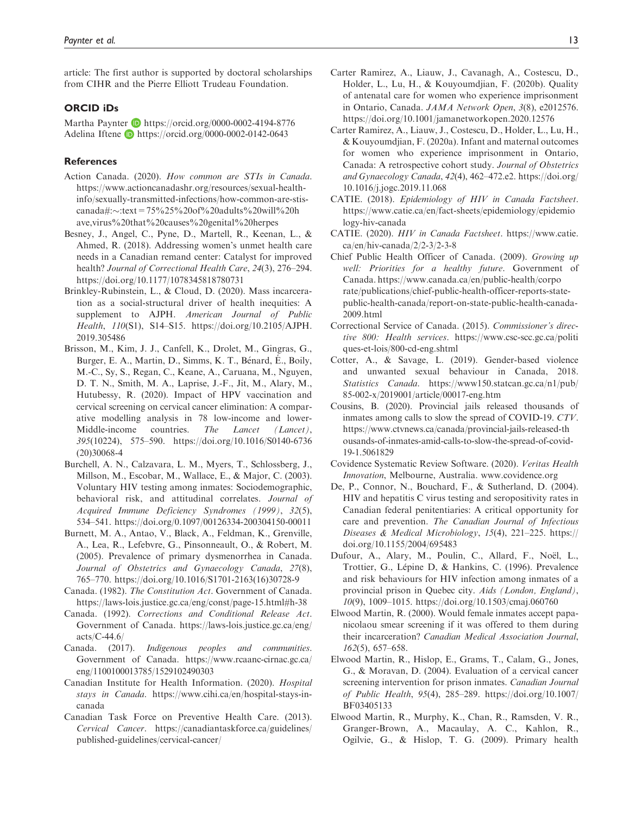article: The first author is supported by doctoral scholarships from CIHR and the Pierre Elliott Trudeau Foundation.

#### ORCID iDs

Martha Paynter D <https://orcid.org/0000-0002-4194-8776> Adelina Iftene D <https://orcid.org/0000-0002-0142-0643>

#### References

- Action Canada. (2020). How common are STIs in Canada. [https://www.actioncanadashr.org/resources/sexual-health](https://www.actioncanadashr.org/resources/sexual-health-info/sexually-transmitted-infections/how-common-are-stis-canada#:<:text=75%25%20of%20adults%20will%20have,virus%20that%20causes%20genital%20herpes)[info/sexually-transmitted-infections/how-common-are-stis](https://www.actioncanadashr.org/resources/sexual-health-info/sexually-transmitted-infections/how-common-are-stis-canada#:<:text=75%25%20of%20adults%20will%20have,virus%20that%20causes%20genital%20herpes)[canada#:](https://www.actioncanadashr.org/resources/sexual-health-info/sexually-transmitted-infections/how-common-are-stis-canada#:<:text=75%25%20of%20adults%20will%20have,virus%20that%20causes%20genital%20herpes)-[:text=75%25%20of%20adults%20will%20h](https://www.actioncanadashr.org/resources/sexual-health-info/sexually-transmitted-infections/how-common-are-stis-canada#:<:text=75%25%20of%20adults%20will%20have,virus%20that%20causes%20genital%20herpes) [ave,virus%20that%20causes%20genital%20herpes](https://www.actioncanadashr.org/resources/sexual-health-info/sexually-transmitted-infections/how-common-are-stis-canada#:<:text=75%25%20of%20adults%20will%20have,virus%20that%20causes%20genital%20herpes)
- Besney, J., Angel, C., Pyne, D., Martell, R., Keenan, L., & Ahmed, R. (2018). Addressing women's unmet health care needs in a Canadian remand center: Catalyst for improved health? Journal of Correctional Health Care, 24(3), 276–294. <https://doi.org/10.1177/1078345818780731>
- Brinkley-Rubinstein, L., & Cloud, D. (2020). Mass incarceration as a social-structural driver of health inequities: A supplement to AJPH. American Journal of Public Health, 110(S1), S14–S15. [https://doi.org/10.2105/AJPH.](https://doi.org/10.2105/AJPH.2019.305486) [2019.305486](https://doi.org/10.2105/AJPH.2019.305486)
- Brisson, M., Kim, J. J., Canfell, K., Drolet, M., Gingras, G., Burger, E. A., Martin, D., Simms, K. T., Bénard, É., Boily, M.-C., Sy, S., Regan, C., Keane, A., Caruana, M., Nguyen, D. T. N., Smith, M. A., Laprise, J.-F., Jit, M., Alary, M., Hutubessy, R. (2020). Impact of HPV vaccination and cervical screening on cervical cancer elimination: A comparative modelling analysis in 78 low-income and lower-Middle-income countries. The Lancet (Lancet), 395(10224), 575–590. [https://doi.org/10.1016/S0140-6736](https://doi.org/10.1016/S0140-6736(20)30068-4) [\(20\)30068-4](https://doi.org/10.1016/S0140-6736(20)30068-4)
- Burchell, A. N., Calzavara, L. M., Myers, T., Schlossberg, J., Millson, M., Escobar, M., Wallace, E., & Major, C. (2003). Voluntary HIV testing among inmates: Sociodemographic, behavioral risk, and attitudinal correlates. Journal of Acquired Immune Deficiency Syndromes (1999), 32(5), 534–541.<https://doi.org/0.1097/00126334-200304150-00011>
- Burnett, M. A., Antao, V., Black, A., Feldman, K., Grenville, A., Lea, R., Lefebvre, G., Pinsonneault, O., & Robert, M. (2005). Prevalence of primary dysmenorrhea in Canada. Journal of Obstetrics and Gynaecology Canada, 27(8), 765–770. [https://doi.org/10.1016/S1701-2163\(16\)30728-9](https://doi.org/10.1016/S1701-2163(16)30728-9)
- Canada. (1982). The Constitution Act. Government of Canada. <https://laws-lois.justice.gc.ca/eng/const/page-15.html#h-38>
- Canada. (1992). Corrections and Conditional Release Act. Government of Canada. [https://laws-lois.justice.gc.ca/eng/](https://laws-lois.justice.gc.ca/eng/acts/C-44.6/) [acts/C-44.6/](https://laws-lois.justice.gc.ca/eng/acts/C-44.6/)
- Canada. (2017). Indigenous peoples and communities. Government of Canada. [https://www.rcaanc-cirnac.gc.ca/](https://www.rcaanc-cirnac.gc.ca/eng/1100100013785/1529102490303) [eng/1100100013785/1529102490303](https://www.rcaanc-cirnac.gc.ca/eng/1100100013785/1529102490303)
- Canadian Institute for Health Information. (2020). Hospital stays in Canada. [https://www.cihi.ca/en/hospital-stays-in](https://www.cihi.ca/en/hospital-stays-in-canada)[canada](https://www.cihi.ca/en/hospital-stays-in-canada)
- Canadian Task Force on Preventive Health Care. (2013). Cervical Cancer. [https://canadiantaskforce.ca/guidelines/](https://canadiantaskforce.ca/guidelines/published-guidelines/cervical-cancer/) [published-guidelines/cervical-cancer/](https://canadiantaskforce.ca/guidelines/published-guidelines/cervical-cancer/)
- Carter Ramirez, A., Liauw, J., Cavanagh, A., Costescu, D., Holder, L., Lu, H., & Kouyoumdjian, F. (2020b). Quality of antenatal care for women who experience imprisonment in Ontario, Canada. JAMA Network Open, 3(8), e2012576. <https://doi.org/10.1001/jamanetworkopen.2020.12576>
- Carter Ramirez, A., Liauw, J., Costescu, D., Holder, L., Lu, H., & Kouyoumdjian, F. (2020a). Infant and maternal outcomes for women who experience imprisonment in Ontario, Canada: A retrospective cohort study. Journal of Obstetrics and Gynaecology Canada, 42(4), 462–472.e2. [https://doi.org/](https://doi.org/10.1016/j.jogc.2019.11.068) [10.1016/j.jogc.2019.11.068](https://doi.org/10.1016/j.jogc.2019.11.068)
- CATIE. (2018). Epidemiology of HIV in Canada Factsheet. [https://www.catie.ca/en/fact-sheets/epidemiology/epidemio](https://www.catie.ca/en/fact-sheets/epidemiology/epidemiology-hiv-canada) [logy-hiv-canada](https://www.catie.ca/en/fact-sheets/epidemiology/epidemiology-hiv-canada)
- CATIE. (2020). HIV in Canada Factsheet. [https://www.catie.](https://www.catie.ca/en/hiv-canada/2/2-3/2-3-8) [ca/en/hiv-canada/2/2-3/2-3-8](https://www.catie.ca/en/hiv-canada/2/2-3/2-3-8)
- Chief Public Health Officer of Canada. (2009). Growing up well: Priorities for a healthy future. Government of Canada. [https://www.canada.ca/en/public-health/corpo](https://www.canada.ca/en/public-health/corporate/publications/chief-public-health-officer-reports-state-public-health-canada/report-on-state-public-health-canada-2009.html) [rate/publications/chief-public-health-officer-reports-state](https://www.canada.ca/en/public-health/corporate/publications/chief-public-health-officer-reports-state-public-health-canada/report-on-state-public-health-canada-2009.html)[public-health-canada/report-on-state-public-health-canada-](https://www.canada.ca/en/public-health/corporate/publications/chief-public-health-officer-reports-state-public-health-canada/report-on-state-public-health-canada-2009.html)[2009.html](https://www.canada.ca/en/public-health/corporate/publications/chief-public-health-officer-reports-state-public-health-canada/report-on-state-public-health-canada-2009.html)
- Correctional Service of Canada. (2015). Commissioner's directive 800: Health services. [https://www.csc-scc.gc.ca/politi](https://www.csc-scc.gc.ca/politiques-et-lois/800-cd-eng.shtml) [ques-et-lois/800-cd-eng.shtml](https://www.csc-scc.gc.ca/politiques-et-lois/800-cd-eng.shtml)
- Cotter, A., & Savage, L. (2019). Gender-based violence and unwanted sexual behaviour in Canada, 2018. Statistics Canada. [https://www150.statcan.gc.ca/n1/pub/](https://www150.statcan.gc.ca/n1/pub/85-002-x/2019001/article/00017-eng.htm) [85-002-x/2019001/article/00017-eng.htm](https://www150.statcan.gc.ca/n1/pub/85-002-x/2019001/article/00017-eng.htm)
- Cousins, B. (2020). Provincial jails released thousands of inmates among calls to slow the spread of COVID-19. CTV. [https://www.ctvnews.ca/canada/provincial-jails-released-th](https://www.ctvnews.ca/canada/provincial-jails-released-thousands-of-inmates-amid-calls-to-slow-the-spread-of-covid-19-1.5061829) [ousands-of-inmates-amid-calls-to-slow-the-spread-of-covid-](https://www.ctvnews.ca/canada/provincial-jails-released-thousands-of-inmates-amid-calls-to-slow-the-spread-of-covid-19-1.5061829)[19-1.5061829](https://www.ctvnews.ca/canada/provincial-jails-released-thousands-of-inmates-amid-calls-to-slow-the-spread-of-covid-19-1.5061829)
- Covidence Systematic Review Software. (2020). Veritas Health Innovation, Melbourne, Australia. [www.covidence.org](http://www.covidence.org)
- De, P., Connor, N., Bouchard, F., & Sutherland, D. (2004). HIV and hepatitis C virus testing and seropositivity rates in Canadian federal penitentiaries: A critical opportunity for care and prevention. The Canadian Journal of Infectious Diseases & Medical Microbiology, 15(4), 221–225. [https://](https://doi.org/10.1155/2004/695483) [doi.org/10.1155/2004/695483](https://doi.org/10.1155/2004/695483)
- Dufour, A., Alary, M., Poulin, C., Allard, F., Noël, L., Trottier, G., Lépine D, & Hankins, C. (1996). Prevalence and risk behaviours for HIV infection among inmates of a provincial prison in Quebec city. Aids (London, England), 10(9), 1009–1015<. https://doi.org/10.1503/cmaj.060760>
- Elwood Martin, R. (2000). Would female inmates accept papanicolaou smear screening if it was offered to them during their incarceration? Canadian Medical Association Journal, 162(5), 657–658.
- Elwood Martin, R., Hislop, E., Grams, T., Calam, G., Jones, G., & Moravan, D. (2004). Evaluation of a cervical cancer screening intervention for prison inmates. Canadian Journal of Public Health, 95(4), 285–289. [https://doi.org/10.1007/](https://doi.org/10.1007/BF03405133) [BF03405133](https://doi.org/10.1007/BF03405133)
- Elwood Martin, R., Murphy, K., Chan, R., Ramsden, V. R., Granger-Brown, A., Macaulay, A. C., Kahlon, R., Ogilvie, G., & Hislop, T. G. (2009). Primary health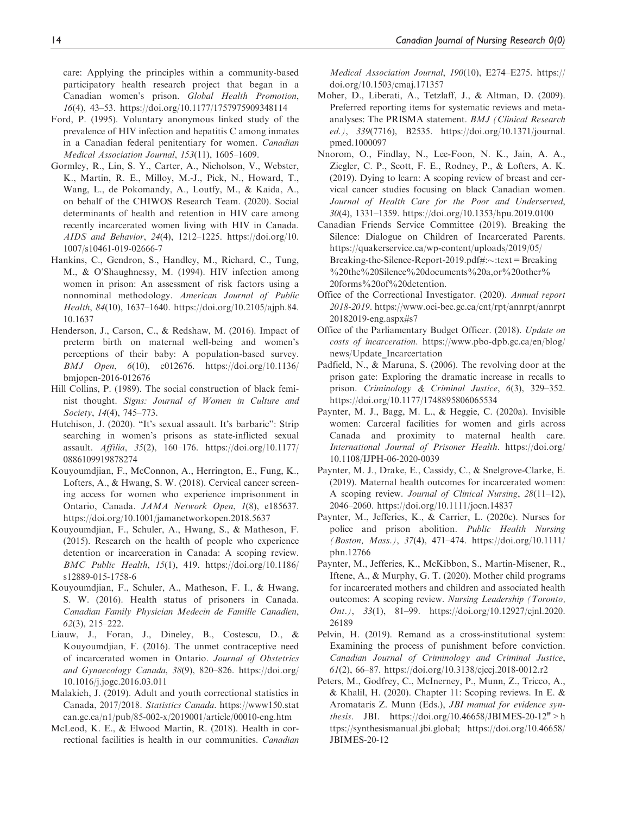care: Applying the principles within a community-based participatory health research project that began in a Canadian women's prison. Global Health Promotion, 16(4), 43–53.<https://doi.org/10.1177/1757975909348114>

- Ford, P. (1995). Voluntary anonymous linked study of the prevalence of HIV infection and hepatitis C among inmates in a Canadian federal penitentiary for women. Canadian Medical Association Journal, 153(11), 1605–1609.
- Gormley, R., Lin, S. Y., Carter, A., Nicholson, V., Webster, K., Martin, R. E., Milloy, M.-J., Pick, N., Howard, T., Wang, L., de Pokomandy, A., Loutfy, M., & Kaida, A., on behalf of the CHIWOS Research Team. (2020). Social determinants of health and retention in HIV care among recently incarcerated women living with HIV in Canada. AIDS and Behavior, 24(4), 1212–1225. [https://doi.org/10.](https://doi.org/10.1007/s10461-019-02666-7) [1007/s10461-019-02666-7](https://doi.org/10.1007/s10461-019-02666-7)
- Hankins, C., Gendron, S., Handley, M., Richard, C., Tung, M., & O'Shaughnessy, M. (1994). HIV infection among women in prison: An assessment of risk factors using a nonnominal methodology. American Journal of Public Health, 84(10), 1637–1640. [https://doi.org/10.2105/ajph.84.](https://doi.org/10.2105/ajph.84.10.1637) [10.1637](https://doi.org/10.2105/ajph.84.10.1637)
- Henderson, J., Carson, C., & Redshaw, M. (2016). Impact of preterm birth on maternal well-being and women's perceptions of their baby: A population-based survey. BMJ Open, 6(10), e012676. [https://doi.org/10.1136/](https://doi.org/10.1136/bmjopen-2016-012676) [bmjopen-2016-012676](https://doi.org/10.1136/bmjopen-2016-012676)
- Hill Collins, P. (1989). The social construction of black feminist thought. Signs: Journal of Women in Culture and Society, 14(4), 745–773.
- Hutchison, J. (2020). "It's sexual assault. It's barbaric": Strip searching in women's prisons as state-inflicted sexual assault. Affilia, 35(2), 160–176. [https://doi.org/10.1177/](https://doi.org/10.1177/0886109919878274) [0886109919878274](https://doi.org/10.1177/0886109919878274)
- Kouyoumdjian, F., McConnon, A., Herrington, E., Fung, K., Lofters, A., & Hwang, S. W. (2018). Cervical cancer screening access for women who experience imprisonment in Ontario, Canada. JAMA Network Open, 1(8), e185637. <https://doi.org/10.1001/jamanetworkopen.2018.5637>
- Kouyoumdjian, F., Schuler, A., Hwang, S., & Matheson, F. (2015). Research on the health of people who experience detention or incarceration in Canada: A scoping review. BMC Public Health, 15(1), 419. [https://doi.org/10.1186/](https://doi.org/10.1186/s12889-015-1758-6) [s12889-015-1758-6](https://doi.org/10.1186/s12889-015-1758-6)
- Kouyoumdjian, F., Schuler, A., Matheson, F. I., & Hwang, S. W. (2016). Health status of prisoners in Canada. Canadian Family Physician Medecin de Famille Canadien, 62(3), 215–222.
- Liauw, J., Foran, J., Dineley, B., Costescu, D., & Kouyoumdjian, F. (2016). The unmet contraceptive need of incarcerated women in Ontario. Journal of Obstetrics and Gynaecology Canada, 38(9), 820–826. [https://doi.org/](https://doi.org/10.1016/j.jogc.2016.03.011) [10.1016/j.jogc.2016.03.011](https://doi.org/10.1016/j.jogc.2016.03.011)
- Malakieh, J. (2019). Adult and youth correctional statistics in Canada, 2017/2018. Statistics Canada. [https://www150.stat](https://www150.statcan.gc.ca/n1/pub/85-002-x/2019001/article/00010-eng.htm) [can.gc.ca/n1/pub/85-002-x/2019001/article/00010-eng.htm](https://www150.statcan.gc.ca/n1/pub/85-002-x/2019001/article/00010-eng.htm)
- McLeod, K. E., & Elwood Martin, R. (2018). Health in correctional facilities is health in our communities. Canadian

Medical Association Journal, 190(10), E274–E275. [https://](https://doi.org/10.1503/cmaj.171357) [doi.org/10.1503/cmaj.171357](https://doi.org/10.1503/cmaj.171357)

- Moher, D., Liberati, A., Tetzlaff, J., & Altman, D. (2009). Preferred reporting items for systematic reviews and metaanalyses: The PRISMA statement. BMJ (Clinical Research ed.), 339(7716), B2535. [https://doi.org/10.1371/journal.](https://doi.org/10.1371/journal.pmed.1000097) [pmed.1000097](https://doi.org/10.1371/journal.pmed.1000097)
- Nnorom, O., Findlay, N., Lee-Foon, N. K., Jain, A. A., Ziegler, C. P., Scott, F. E., Rodney, P., & Lofters, A. K. (2019). Dying to learn: A scoping review of breast and cervical cancer studies focusing on black Canadian women. Journal of Health Care for the Poor and Underserved, 30(4), 1331–1359.<https://doi.org/10.1353/hpu.2019.0100>
- Canadian Friends Service Committee (2019). Breaking the Silence: Dialogue on Children of Incarcerated Parents. https://quakerservice.ca/wp-content/uploads/2019/05/ Breaking-the-Silence-Report-2019.pdf#: $\sim$ :text = Breaking %20the%20Silence%20documents%20a,or%20other% 20forms%20of%20detention.
- Office of the Correctional Investigator. (2020). Annual report 2018-2019. [https://www.oci-bec.gc.ca/cnt/rpt/annrpt/annrpt](https://www.oci-bec.gc.ca/cnt/rpt/annrpt/annrpt20182019-eng.aspx#s7) [20182019-eng.aspx#s7](https://www.oci-bec.gc.ca/cnt/rpt/annrpt/annrpt20182019-eng.aspx#s7)
- Office of the Parliamentary Budget Officer. (2018). Update on costs of incarceration. [https://www.pbo-dpb.gc.ca/en/blog/](https://www.pbo-dpb.gc.ca/en/blog/news/Update_Incarcertation) [news/Update\\_Incarcertation](https://www.pbo-dpb.gc.ca/en/blog/news/Update_Incarcertation)
- Padfield, N., & Maruna, S. (2006). The revolving door at the prison gate: Exploring the dramatic increase in recalls to prison. Criminology & Criminal Justice, 6(3), 329–352. <https://doi.org/10.1177/1748895806065534>
- Paynter, M. J., Bagg, M. L., & Heggie, C. (2020a). Invisible women: Carceral facilities for women and girls across Canada and proximity to maternal health care. International Journal of Prisoner Health. https://doi.org/ 10.1108/IJPH-06-2020-0039
- Paynter, M. J., Drake, E., Cassidy, C., & Snelgrove-Clarke, E. (2019). Maternal health outcomes for incarcerated women: A scoping review. Journal of Clinical Nursing, 28(11–12), 2046–2060.<https://doi.org/10.1111/jocn.14837>
- Paynter, M., Jefferies, K., & Carrier, L. (2020c). Nurses for police and prison abolition. Public Health Nursing (Boston, Mass.), 37(4), 471–474. [https://doi.org/10.1111/](https://doi.org/10.1111/phn.12766) [phn.12766](https://doi.org/10.1111/phn.12766)
- Paynter, M., Jefferies, K., McKibbon, S., Martin-Misener, R., Iftene, A., & Murphy, G. T. (2020). Mother child programs for incarcerated mothers and children and associated health outcomes: A scoping review. Nursing Leadership (Toronto, Ont.), 33(1), 81–99. [https://doi.org/10.12927/cjnl.2020.](https://doi.org/10.12927/cjnl.2020.26189) [26189](https://doi.org/10.12927/cjnl.2020.26189)
- Pelvin, H. (2019). Remand as a cross-institutional system: Examining the process of punishment before conviction. Canadian Journal of Criminology and Criminal Justice, 61(2), 66–87.<https://doi.org/10.3138/cjccj.2018-0012.r2>
- Peters, M., Godfrey, C., McInerney, P., Munn, Z., Tricco, A., & Khalil, H. (2020). Chapter 11: Scoping reviews. In E. & Aromataris Z. Munn (Eds.), JBI manual for evidence synthesis. JBI. [https://doi.org/10.46658/JBIMES-20-12">h](https://synthesismanual.jbi.global; https://synthesismanual.jbi.global;) [ttps://synthesismanual.jbi.global; https://doi.org/10.46658/](https://synthesismanual.jbi.global; https://synthesismanual.jbi.global;) [JBIMES-20-12](https://synthesismanual.jbi.global; https://synthesismanual.jbi.global;)